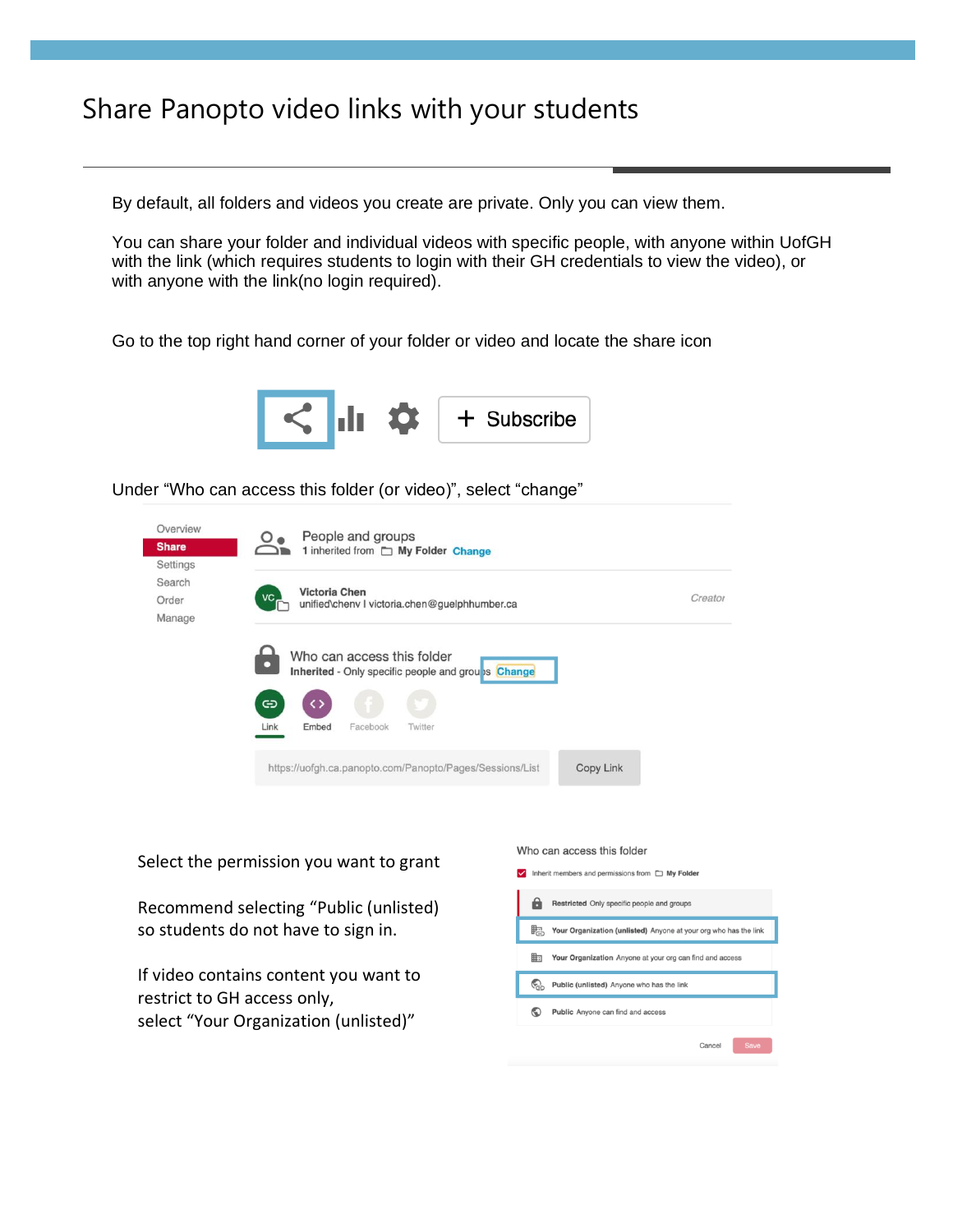## <span id="page-0-0"></span>Share Panopto video links with your students

By default, all folders and videos you create are private. Only you can view them.

You can share your folder and individual videos with specific people, with anyone within UofGH with the link (which requires students to login with their GH credentials to view the video), or with anyone with the link(no login required).

Go to the top right hand corner of your folder or video and locate the share icon



Under "Who can access this folder (or video)", select "change"

| Search<br>Order<br>Manage | <b>Victoria Chen</b><br>VC<br>unified\chenv   victoria.chen@guelphhumber.ca                                   | Creator |
|---------------------------|---------------------------------------------------------------------------------------------------------------|---------|
|                           | Who can access this folder<br>Inherited - Only specific people and groups Change<br>ඏ                         |         |
|                           | Embed<br>Facebook<br>Link<br>Twitter<br>https://uofgh.ca.panopto.com/Panopto/Pages/Sessions/List<br>Copy Link |         |

Recommend selecting "Public (unlisted) so students do not have to sign in.

If video contains content you want to restrict to GH access only, select "Your Organization (unlisted)"

Restricted Only specific people and groups Your Organization (unlisted) Anyone at your org who has the link Your Organization Anyone at your org can find and access Public (unlisted) Anyone who has the link Public Anyone can find and access Cancel Say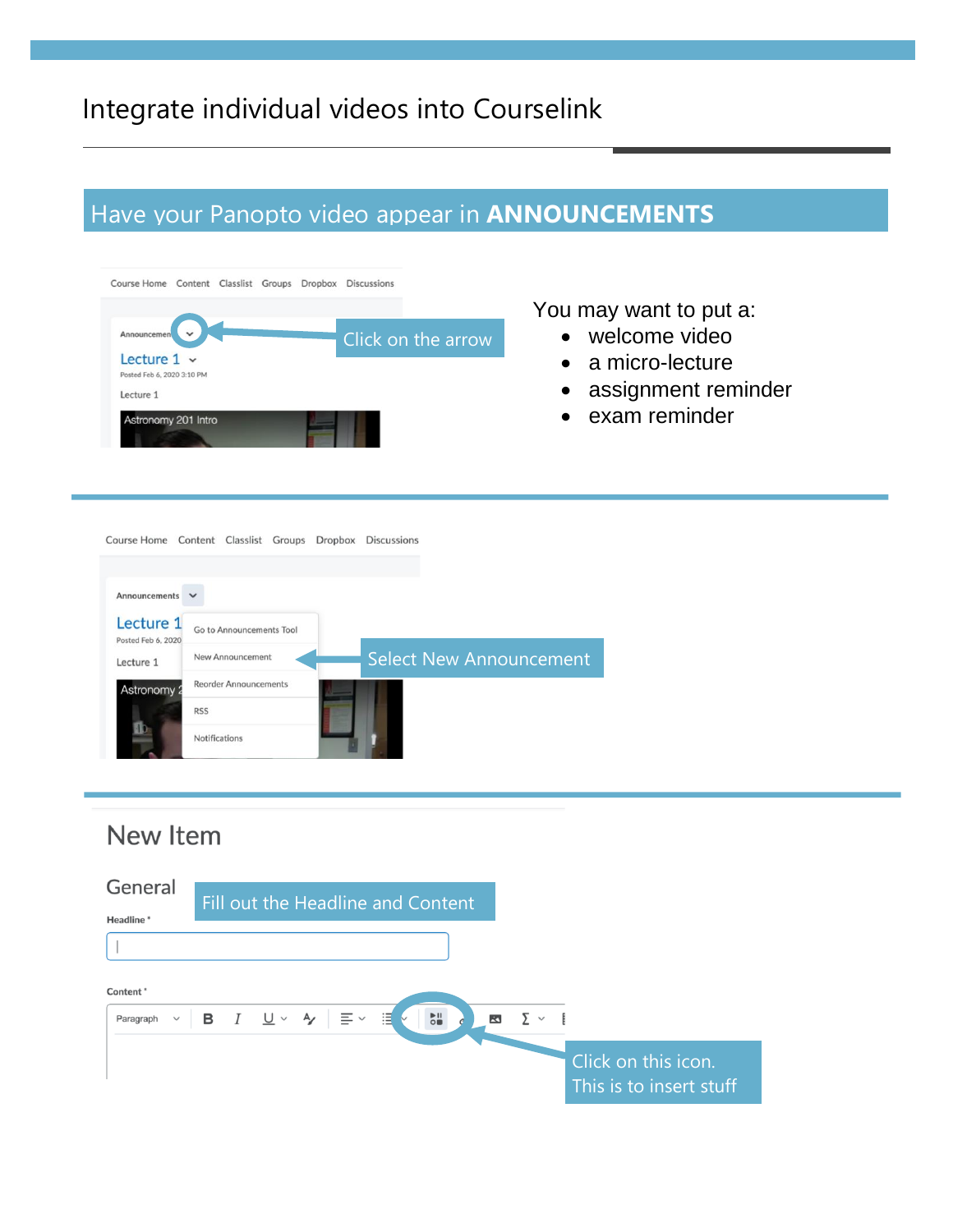## Have your Panopto video appear in **ANNOUNCEMENTS**

Course Home Content Classlist Groups Dropbox Discussions

Course Home Content Classlist Groups Dropbox Discussions

| $\checkmark$<br>Announcemen                      | <b>Click on the arrow</b> |
|--------------------------------------------------|---------------------------|
| Lecture $1 \times$<br>Posted Feb 6, 2020 3:10 PM |                           |
| Lecture 1                                        |                           |
| Astronomy 201 Intro                              |                           |

### You may want to put a:

- welcome video
- a micro-lecture
- assignment reminder
- exam reminder

| Announcements                   | $\checkmark$                 |                                |
|---------------------------------|------------------------------|--------------------------------|
| Lecture 1<br>Posted Feb 6, 2020 | Go to Announcements Tool     |                                |
| Lecture 1                       | New Announcement             | <b>Select New Announcement</b> |
| Astronomy 2                     | <b>Reorder Announcements</b> |                                |
|                                 | <b>RSS</b>                   |                                |
|                                 | Notifications                |                                |

### New Item

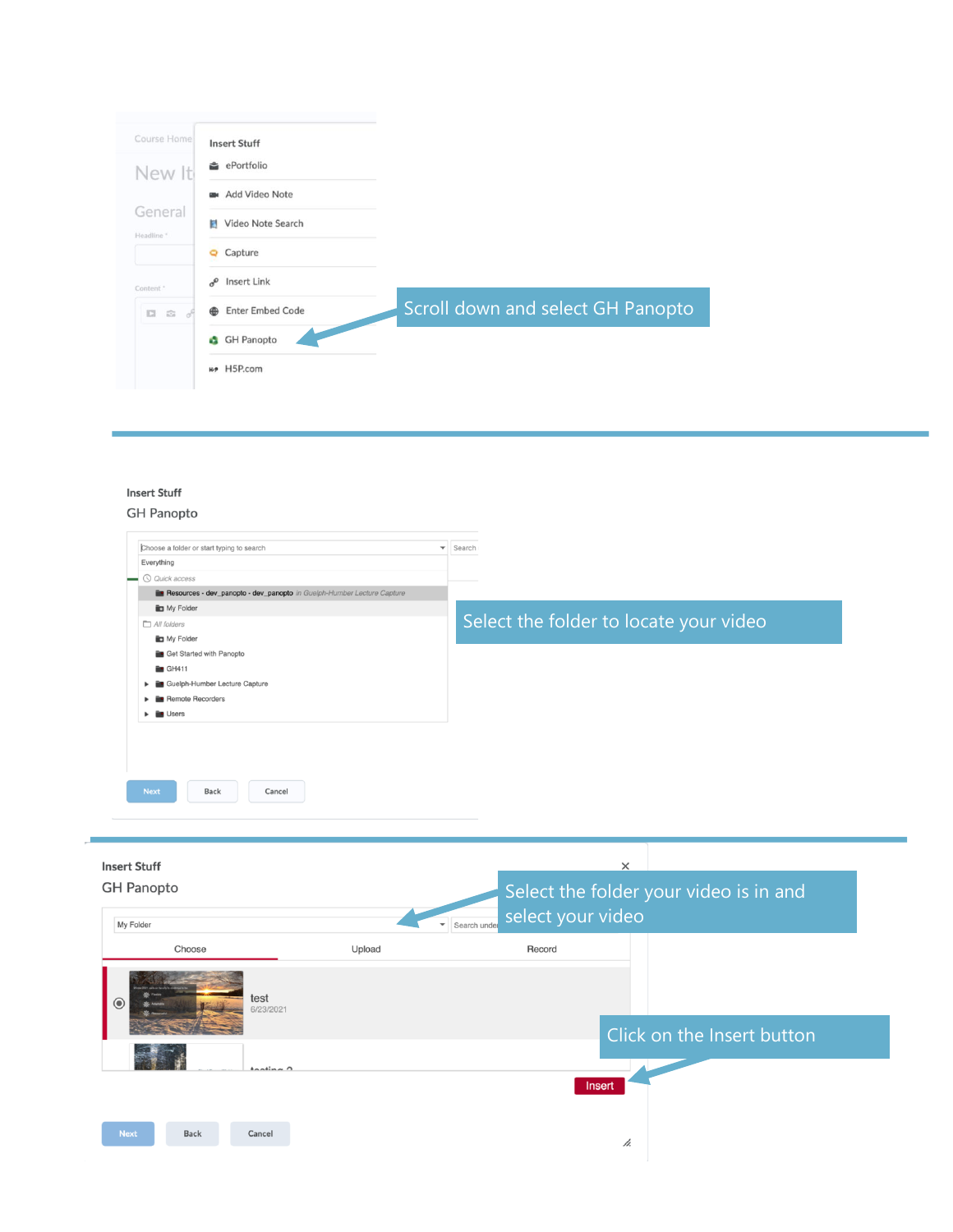| Course Home            | <b>Insert Stuff</b>                    |                                   |
|------------------------|----------------------------------------|-----------------------------------|
| New It                 | ePortfolio                             |                                   |
|                        | Add Video Note                         |                                   |
| General                | Video Note Search                      |                                   |
| Headline."             |                                        |                                   |
|                        | Capture                                |                                   |
| Content "              | <b>Insert Link</b><br>$\sigma^{\circ}$ |                                   |
| $\Box$ $\Box$ $\delta$ | <b>Enter Embed Code</b>                | Scroll down and select GH Panopto |
|                        | <b>GH Panopto</b><br>63                |                                   |
|                        | H5P.com<br>$H-2$                       |                                   |

#### **Insert Stuff**

#### GH Panopto



| <b>Insert Stuff</b>                  |        | $\times$                               |
|--------------------------------------|--------|----------------------------------------|
| <b>GH Panopto</b>                    |        | Select the folder your video is in and |
| My Folder                            |        | select your video<br>Search under      |
| Choose                               | Upload | Record                                 |
| test<br>$\odot$<br>6/23/2021         |        | Click on the Insert button             |
| $t$ nntinn $\Omega$                  |        |                                        |
|                                      |        | Insert                                 |
| <b>Next</b><br><b>Back</b><br>Cancel |        | h.                                     |
|                                      |        |                                        |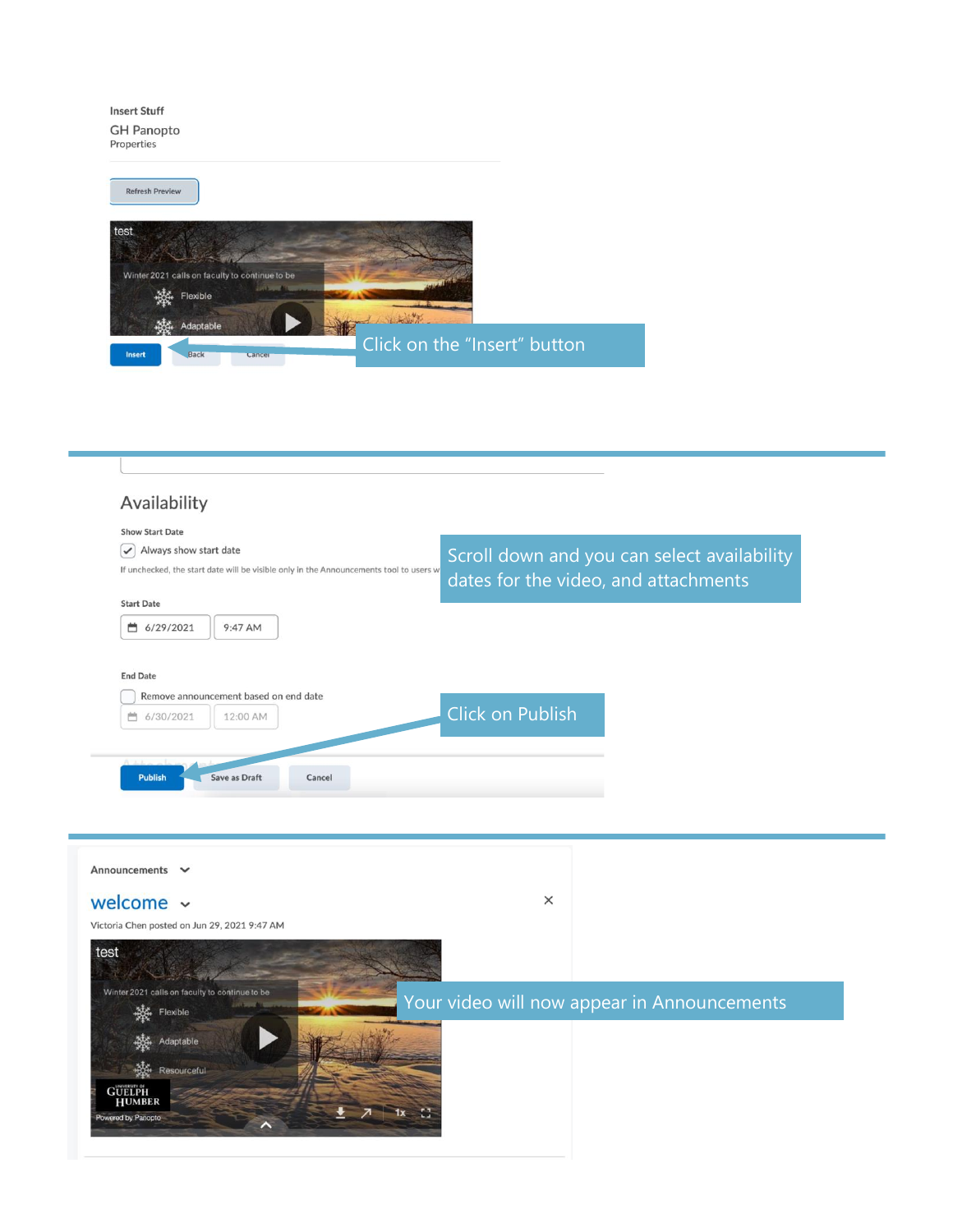**Insert Stuff GH Panopto** Properties

**Refresh Preview** 



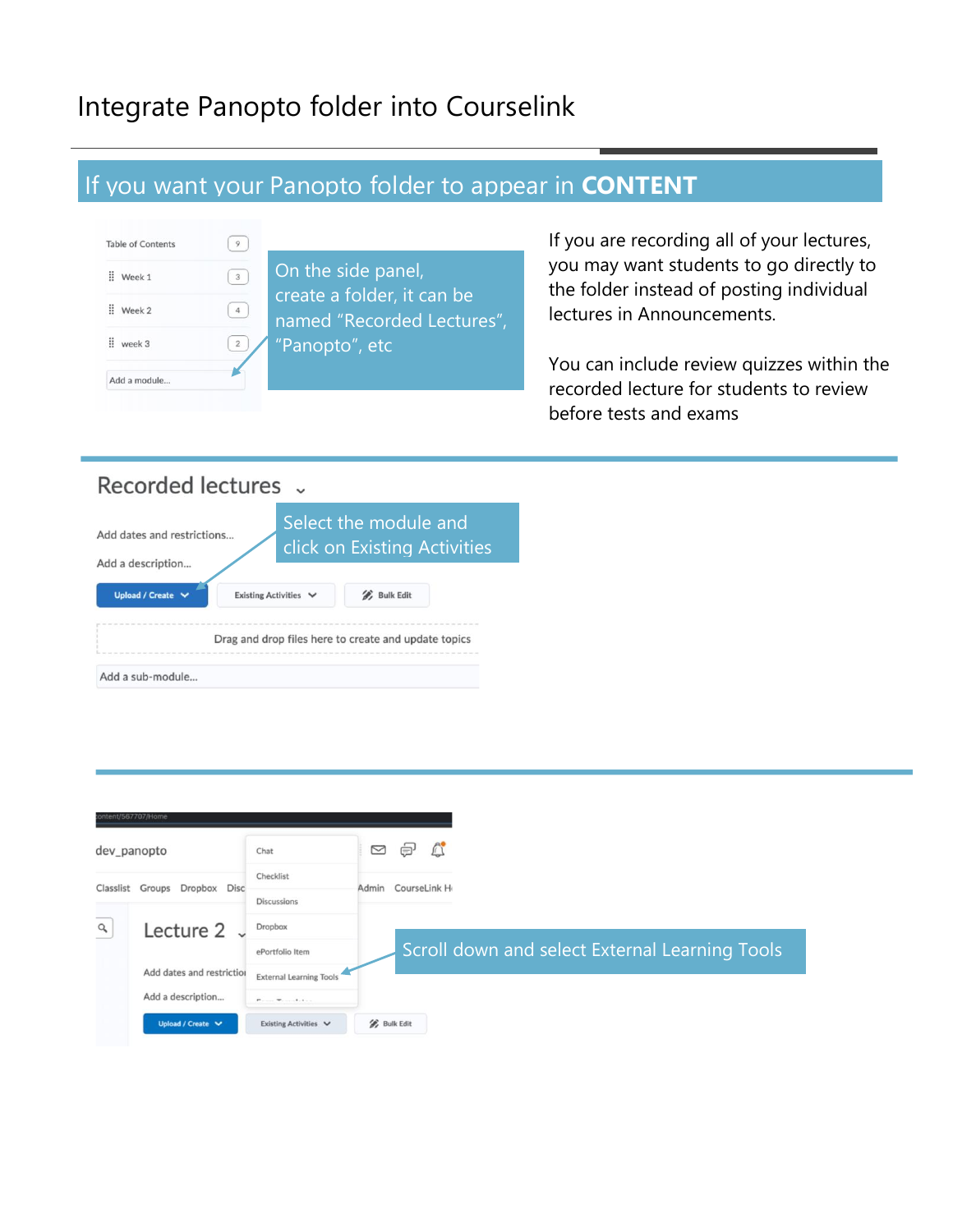# If you want your Panopto folder to appear in **CONTENT**

can be Lectures",

| <b>Table of Contents</b>             |                          |                                                                                  |
|--------------------------------------|--------------------------|----------------------------------------------------------------------------------|
| ×<br>Week 1<br>Week 2<br>∷<br>week 3 | 3<br>4<br>$\overline{2}$ | On the side panel,<br>create a folder, it o<br>named "Recorded<br>"Panopto", etc |
| Add a module                         |                          |                                                                                  |

If you are recording all of your lectures, you may want students to go directly to the folder instead of posting individual lectures in Announcements.

You can include review quizzes within the recorded lecture for students to review before tests and exams

### Recorded lectures v

| Add dates and restrictions<br>Add a description | Select the module and<br>click on Existing Activities |                                                      |  |
|-------------------------------------------------|-------------------------------------------------------|------------------------------------------------------|--|
| <b>Upload / Create</b>                          | <b>Existing Activities</b>                            | <b>Bulk Edit</b>                                     |  |
|                                                 |                                                       | Drag and drop files here to create and update topics |  |
| Add a sub-module                                |                                                       |                                                      |  |